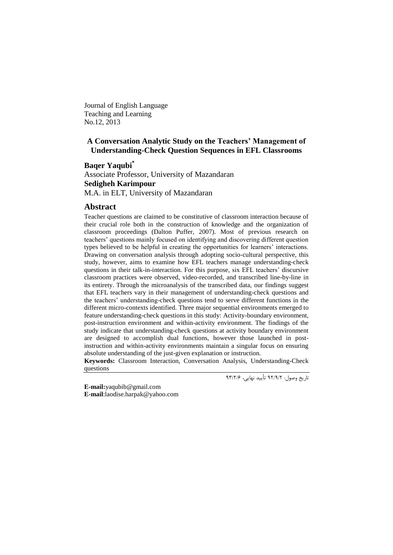Journal of English Language Teaching and Learning No.12, 2013

# **A Conversation Analytic Study on the Teachers' Management of Understanding-Check Question Sequences in EFL Classrooms**

**Baqer Yaqubi\***

Associate Professor, University of Mazandaran **Sedigheh Karimpour** M.A. in ELT, University of Mazandaran

## **Abstract**

Teacher questions are claimed to be constitutive of classroom interaction because of their crucial role both in the construction of knowledge and the organization of classroom proceedings (Dalton Puffer, 2007). Most of previous research on teachers' questions mainly focused on identifying and discovering different question types believed to be helpful in creating the opportunities for learners' interactions. Drawing on conversation analysis through adopting socio-cultural perspective, this study, however, aims to examine how EFL teachers manage understanding-check questions in their talk-in-interaction. For this purpose, six EFL teachers' discursive classroom practices were observed, video-recorded, and transcribed line-by-line in its entirety. Through the microanalysis of the transcribed data, our findings suggest that EFL teachers vary in their management of understanding-check questions and the teachers' understanding-check questions tend to serve different functions in the different micro-contexts identified. Three major sequential environments emerged to feature understanding-check questions in this study: Activity-boundary environment, post-instruction environment and within-activity environment. The findings of the study indicate that understanding-check questions at activity boundary environment are designed to accomplish dual functions, however those launched in postinstruction and within-activity environments maintain a singular focus on ensuring absolute understanding of the just-given explanation or instruction.

**Keywords:** Classroom Interaction, Conversation Analysis, Understanding-Check questions

تاریخ وصول: 92/9/2 تأیید نهایی، 99/2/6

**E-mail:**[yaqubib@gmail.com](mailto:yaqubib@gmail.com) **E-mail**[:laodise.harpak@yahoo.com](mailto:laodise.harpak@yahoo.com)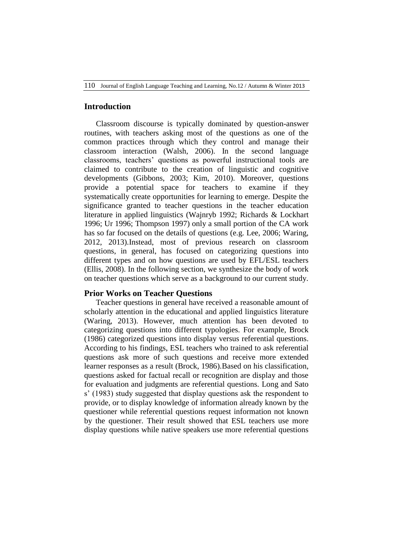## **Introduction**

Classroom discourse is typically dominated by question-answer routines, with teachers asking most of the questions as one of the common practices through which they control and manage their classroom interaction (Walsh, 2006). In the second language classrooms, teachers' questions as powerful instructional tools are claimed to contribute to the creation of linguistic and cognitive developments (Gibbons, 2003; Kim, 2010). Moreover, questions provide a potential space for teachers to examine if they systematically create opportunities for learning to emerge. Despite the significance granted to teacher questions in the teacher education literature in applied linguistics (Wajnryb 1992; Richards & Lockhart 1996; Ur 1996; Thompson 1997) only a small portion of the CA work has so far focused on the details of questions (e.g. Lee, 2006; Waring, 2012, 2013).Instead, most of previous research on classroom questions, in general, has focused on categorizing questions into different types and on how questions are used by EFL/ESL teachers (Ellis, 2008). In the following section, we synthesize the body of work on teacher questions which serve as a background to our current study.

## **Prior Works on Teacher Questions**

Teacher questions in general have received a reasonable amount of scholarly attention in the educational and applied linguistics literature (Waring, 2013). However, much attention has been devoted to categorizing questions into different typologies. For example, Brock (1986) categorized questions into display versus referential questions. According to his findings, ESL teachers who trained to ask referential questions ask more of such questions and receive more extended learner responses as a result (Brock, 1986).Based on his classification, questions asked for factual recall or recognition are display and those for evaluation and judgments are referential questions. Long and Sato s' (1983) study suggested that display questions ask the respondent to provide, or to display knowledge of information already known by the questioner while referential questions request information not known by the questioner. Their result showed that ESL teachers use more display questions while native speakers use more referential questions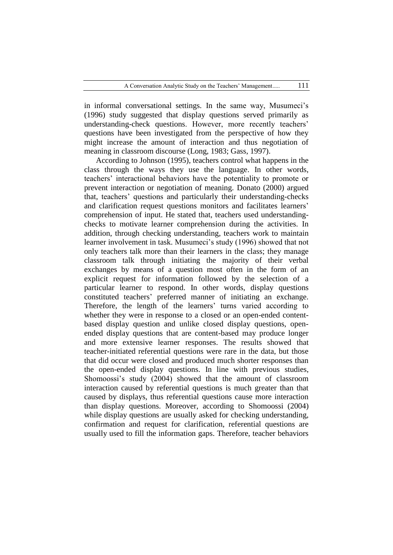in informal conversational settings. In the same way, Musumeci's (1996) study suggested that display questions served primarily as understanding-check questions. However, more recently teachers' questions have been investigated from the perspective of how they might increase the amount of interaction and thus negotiation of meaning in classroom discourse (Long, 1983; Gass, 1997).

According to Johnson (1995), teachers control what happens in the class through the ways they use the language. In other words, teachers' interactional behaviors have the potentiality to promote or prevent interaction or negotiation of meaning. Donato (2000) argued that, teachers' questions and particularly their understanding-checks and clarification request questions monitors and facilitates learners' comprehension of input. He stated that, teachers used understandingchecks to motivate learner comprehension during the activities. In addition, through checking understanding, teachers work to maintain learner involvement in task. Musumeci's study (1996) showed that not only teachers talk more than their learners in the class; they manage classroom talk through initiating the majority of their verbal exchanges by means of a question most often in the form of an explicit request for information followed by the selection of a particular learner to respond. In other words, display questions constituted teachers' preferred manner of initiating an exchange. Therefore, the length of the learners' turns varied according to whether they were in response to a closed or an open-ended contentbased display question and unlike closed display questions, openended display questions that are content-based may produce longer and more extensive learner responses. The results showed that teacher-initiated referential questions were rare in the data, but those that did occur were closed and produced much shorter responses than the open-ended display questions. In line with previous studies, Shomoossi's study (2004) showed that the amount of classroom interaction caused by referential questions is much greater than that caused by displays, thus referential questions cause more interaction than display questions. Moreover, according to Shomoossi (2004) while display questions are usually asked for checking understanding, confirmation and request for clarification, referential questions are usually used to fill the information gaps. Therefore, teacher behaviors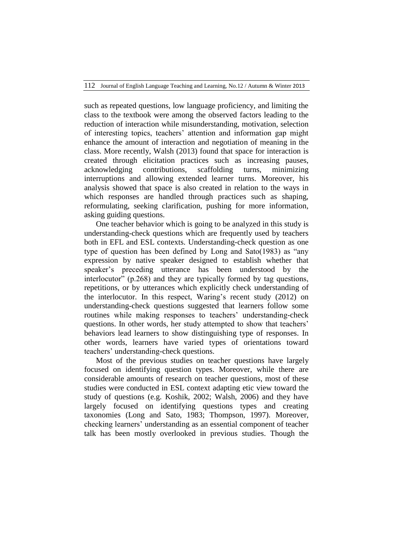such as repeated questions, low language proficiency, and limiting the class to the textbook were among the observed factors leading to the reduction of interaction while misunderstanding, motivation, selection of interesting topics, teachers' attention and information gap might enhance the amount of interaction and negotiation of meaning in the class. More recently, Walsh (2013) found that space for interaction is created through elicitation practices such as increasing pauses, acknowledging contributions, scaffolding turns, minimizing interruptions and allowing extended learner turns. Moreover, his analysis showed that space is also created in relation to the ways in which responses are handled through practices such as shaping, reformulating, seeking clarification, pushing for more information, asking guiding questions.

One teacher behavior which is going to be analyzed in this study is understanding-check questions which are frequently used by teachers both in EFL and ESL contexts. Understanding-check question as one type of question has been defined by Long and Sato(1983) as "any expression by native speaker designed to establish whether that speaker's preceding utterance has been understood by the interlocutor" (p.268) and they are typically formed by tag questions, repetitions, or by utterances which explicitly check understanding of the interlocutor. In this respect, Waring's recent study (2012) on understanding-check questions suggested that learners follow some routines while making responses to teachers' understanding-check questions. In other words, her study attempted to show that teachers' behaviors lead learners to show distinguishing type of responses. In other words, learners have varied types of orientations toward teachers' understanding-check questions.

Most of the previous studies on teacher questions have largely focused on identifying question types. Moreover, while there are considerable amounts of research on teacher questions, most of these studies were conducted in ESL context adapting etic view toward the study of questions (e.g. Koshik, 2002; Walsh, 2006) and they have largely focused on identifying questions types and creating taxonomies (Long and Sato, 1983; Thompson, 1997). Moreover, checking learners' understanding as an essential component of teacher talk has been mostly overlooked in previous studies. Though the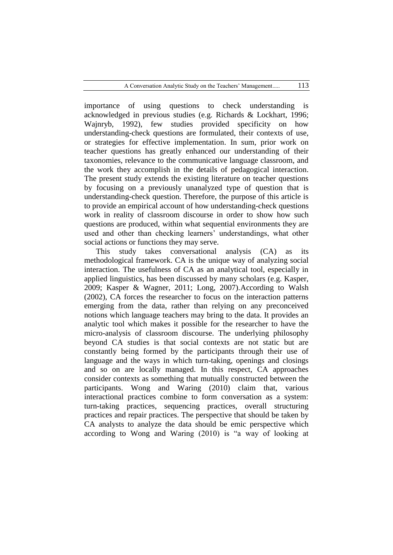importance of using questions to check understanding is acknowledged in previous studies (e.g. Richards & Lockhart, 1996; Wajnryb, 1992), few studies provided specificity on how understanding-check questions are formulated, their contexts of use, or strategies for effective implementation. In sum, prior work on teacher questions has greatly enhanced our understanding of their taxonomies, relevance to the communicative language classroom, and the work they accomplish in the details of pedagogical interaction. The present study extends the existing literature on teacher questions by focusing on a previously unanalyzed type of question that is understanding-check question. Therefore, the purpose of this article is to provide an empirical account of how understanding-check questions work in reality of classroom discourse in order to show how such questions are produced, within what sequential environments they are used and other than checking learners' understandings, what other social actions or functions they may serve.

This study takes conversational analysis (CA) as its methodological framework. CA is the unique way of analyzing social interaction. The usefulness of CA as an analytical tool, especially in applied linguistics, has been discussed by many scholars (e.g. Kasper, 2009; Kasper & Wagner, 2011; Long, 2007).According to Walsh (2002), CA forces the researcher to focus on the interaction patterns emerging from the data, rather than relying on any preconceived notions which language teachers may bring to the data. It provides an analytic tool which makes it possible for the researcher to have the micro-analysis of classroom discourse. The underlying philosophy beyond CA studies is that social contexts are not static but are constantly being formed by the participants through their use of language and the ways in which turn-taking, openings and closings and so on are locally managed. In this respect, CA approaches consider contexts as something that mutually constructed between the participants. Wong and Waring (2010) claim that, various interactional practices combine to form conversation as a system: turn-taking practices, sequencing practices, overall structuring practices and repair practices. The perspective that should be taken by CA analysts to analyze the data should be emic perspective which according to Wong and Waring (2010) is "a way of looking at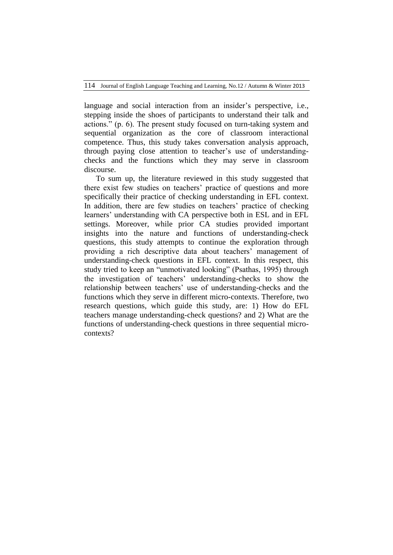114 Journal of English Language Teaching and Learning, No.12 / Autumn & Winter 2013

language and social interaction from an insider's perspective, i.e., stepping inside the shoes of participants to understand their talk and actions." (p. 6). The present study focused on turn-taking system and sequential organization as the core of classroom interactional competence. Thus, this study takes conversation analysis approach, through paying close attention to teacher's use of understandingchecks and the functions which they may serve in classroom discourse.

To sum up, the literature reviewed in this study suggested that there exist few studies on teachers' practice of questions and more specifically their practice of checking understanding in EFL context. In addition, there are few studies on teachers' practice of checking learners' understanding with CA perspective both in ESL and in EFL settings. Moreover, while prior CA studies provided important insights into the nature and functions of understanding-check questions, this study attempts to continue the exploration through providing a rich descriptive data about teachers' management of understanding-check questions in EFL context. In this respect, this study tried to keep an "unmotivated looking" (Psathas, 1995) through the investigation of teachers' understanding-checks to show the relationship between teachers' use of understanding-checks and the functions which they serve in different micro-contexts. Therefore, two research questions, which guide this study, are: 1) How do EFL teachers manage understanding-check questions? and 2) What are the functions of understanding-check questions in three sequential microcontexts?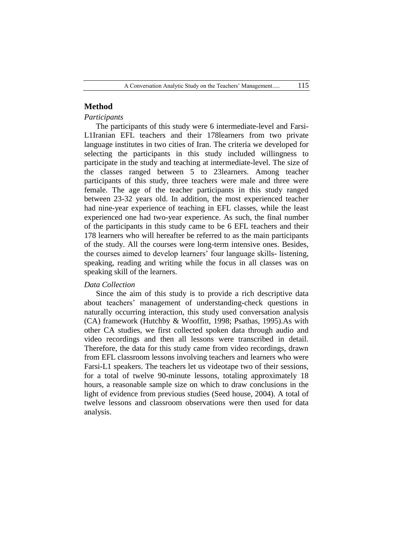# **Method**

### *Participants*

The participants of this study were 6 intermediate-level and Farsi-L1Iranian EFL teachers and their 178learners from two private language institutes in two cities of Iran. The criteria we developed for selecting the participants in this study included willingness to participate in the study and teaching at intermediate-level. The size of the classes ranged between 5 to 23learners. Among teacher participants of this study, three teachers were male and three were female. The age of the teacher participants in this study ranged between 23-32 years old. In addition, the most experienced teacher had nine-year experience of teaching in EFL classes, while the least experienced one had two-year experience. As such, the final number of the participants in this study came to be 6 EFL teachers and their 178 learners who will hereafter be referred to as the main participants of the study. All the courses were long-term intensive ones. Besides, the courses aimed to develop learners' four language skills- listening, speaking, reading and writing while the focus in all classes was on speaking skill of the learners.

#### *Data Collection*

Since the aim of this study is to provide a rich descriptive data about teachers' management of understanding-check questions in naturally occurring interaction, this study used conversation analysis (CA) framework (Hutchby & Wooffitt, 1998; Psathas, 1995).As with other CA studies, we first collected spoken data through audio and video recordings and then all lessons were transcribed in detail. Therefore, the data for this study came from video recordings, drawn from EFL classroom lessons involving teachers and learners who were Farsi-L1 speakers. The teachers let us videotape two of their sessions, for a total of twelve 90-minute lessons, totaling approximately 18 hours, a reasonable sample size on which to draw conclusions in the light of evidence from previous studies (Seed house, 2004). A total of twelve lessons and classroom observations were then used for data analysis.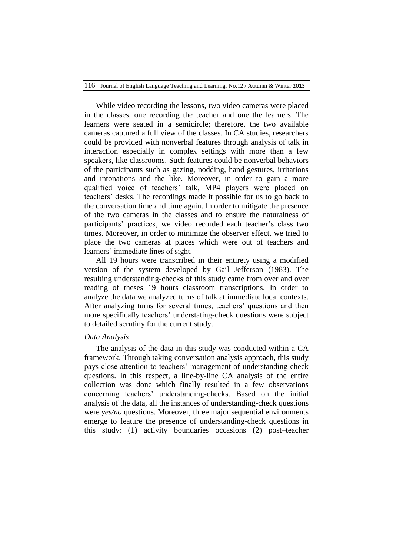While video recording the lessons, two video cameras were placed in the classes, one recording the teacher and one the learners. The learners were seated in a semicircle; therefore, the two available cameras captured a full view of the classes. In CA studies, researchers could be provided with nonverbal features through analysis of talk in interaction especially in complex settings with more than a few speakers, like classrooms. Such features could be nonverbal behaviors of the participants such as gazing, nodding, hand gestures, irritations and intonations and the like. Moreover, in order to gain a more qualified voice of teachers' talk, MP4 players were placed on teachers' desks. The recordings made it possible for us to go back to the conversation time and time again. In order to mitigate the presence of the two cameras in the classes and to ensure the naturalness of participants' practices, we video recorded each teacher's class two times. Moreover, in order to minimize the observer effect, we tried to place the two cameras at places which were out of teachers and learners' immediate lines of sight.

All 19 hours were transcribed in their entirety using a modified version of the system developed by Gail Jefferson (1983). The resulting understanding-checks of this study came from over and over reading of theses 19 hours classroom transcriptions. In order to analyze the data we analyzed turns of talk at immediate local contexts. After analyzing turns for several times, teachers' questions and then more specifically teachers' understating-check questions were subject to detailed scrutiny for the current study.

#### *Data Analysis*

The analysis of the data in this study was conducted within a CA framework. Through taking conversation analysis approach, this study pays close attention to teachers' management of understanding-check questions. In this respect, a line-by-line CA analysis of the entire collection was done which finally resulted in a few observations concerning teachers' understanding-checks. Based on the initial analysis of the data, all the instances of understanding-check questions were *yes/no* questions. Moreover, three major sequential environments emerge to feature the presence of understanding-check questions in this study: (1) activity boundaries occasions (2) post–teacher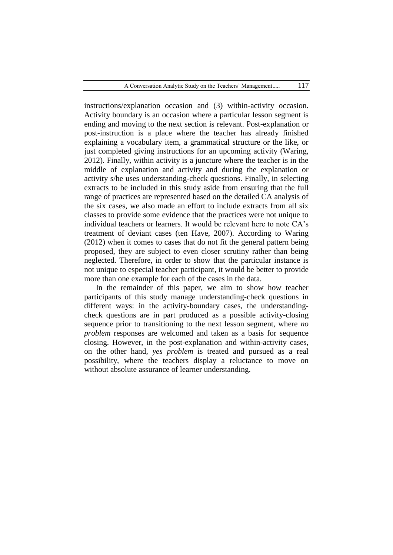instructions/explanation occasion and (3) within-activity occasion. Activity boundary is an occasion where a particular lesson segment is ending and moving to the next section is relevant. Post-explanation or post-instruction is a place where the teacher has already finished explaining a vocabulary item, a grammatical structure or the like, or just completed giving instructions for an upcoming activity (Waring, 2012). Finally, within activity is a juncture where the teacher is in the middle of explanation and activity and during the explanation or activity s/he uses understanding-check questions. Finally, in selecting extracts to be included in this study aside from ensuring that the full range of practices are represented based on the detailed CA analysis of the six cases, we also made an effort to include extracts from all six classes to provide some evidence that the practices were not unique to individual teachers or learners. It would be relevant here to note CA's treatment of deviant cases (ten Have, 2007). According to Waring (2012) when it comes to cases that do not fit the general pattern being proposed, they are subject to even closer scrutiny rather than being neglected. Therefore, in order to show that the particular instance is not unique to especial teacher participant, it would be better to provide more than one example for each of the cases in the data.

In the remainder of this paper, we aim to show how teacher participants of this study manage understanding-check questions in different ways: in the activity-boundary cases, the understandingcheck questions are in part produced as a possible activity-closing sequence prior to transitioning to the next lesson segment, where *no problem* responses are welcomed and taken as a basis for sequence closing. However, in the post-explanation and within-activity cases, on the other hand, *yes problem* is treated and pursued as a real possibility, where the teachers display a reluctance to move on without absolute assurance of learner understanding.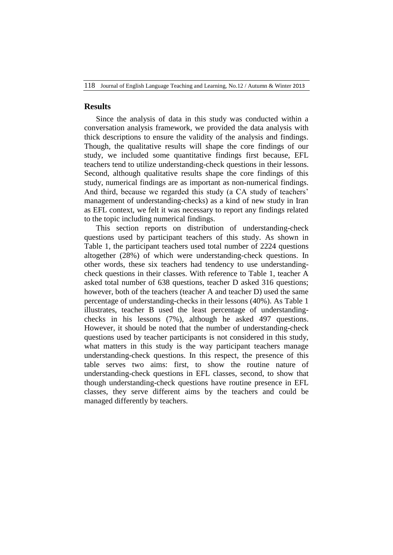## **Results**

Since the analysis of data in this study was conducted within a conversation analysis framework, we provided the data analysis with thick descriptions to ensure the validity of the analysis and findings. Though, the qualitative results will shape the core findings of our study, we included some quantitative findings first because, EFL teachers tend to utilize understanding-check questions in their lessons. Second, although qualitative results shape the core findings of this study, numerical findings are as important as non-numerical findings. And third, because we regarded this study (a CA study of teachers' management of understanding-checks) as a kind of new study in Iran as EFL context, we felt it was necessary to report any findings related to the topic including numerical findings.

This section reports on distribution of understanding-check questions used by participant teachers of this study. As shown in Table 1, the participant teachers used total number of 2224 questions altogether (28%) of which were understanding-check questions. In other words, these six teachers had tendency to use understandingcheck questions in their classes. With reference to Table 1, teacher A asked total number of 638 questions, teacher D asked 316 questions; however, both of the teachers (teacher A and teacher D) used the same percentage of understanding-checks in their lessons (40%). As Table 1 illustrates, teacher B used the least percentage of understandingchecks in his lessons (7%), although he asked 497 questions. However, it should be noted that the number of understanding-check questions used by teacher participants is not considered in this study, what matters in this study is the way participant teachers manage understanding-check questions. In this respect, the presence of this table serves two aims: first, to show the routine nature of understanding-check questions in EFL classes, second, to show that though understanding-check questions have routine presence in EFL classes, they serve different aims by the teachers and could be managed differently by teachers.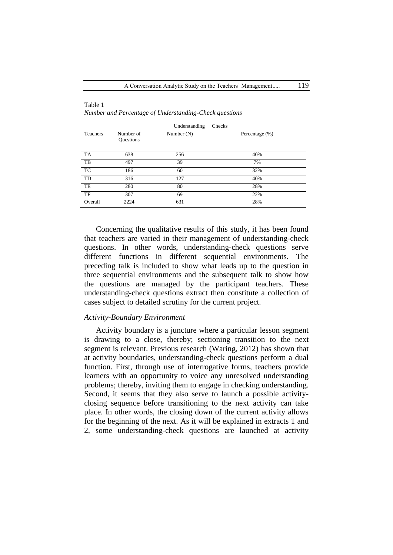| Teachers  | Number of<br>Questions | Understanding<br>Number $(N)$ | Checks<br>Percentage $(\%)$ |
|-----------|------------------------|-------------------------------|-----------------------------|
| TA        | 638                    | 256                           | 40%                         |
| TB        | 497                    | 39                            | 7%                          |
| <b>TC</b> | 186                    | 60                            | 32%                         |
| TD        | 316                    | 127                           | 40%                         |
| TE        | 280                    | 80                            | 28%                         |
| TF        | 307                    | 69                            | 22%                         |
| Overall   | 2224                   | 631                           | 28%                         |

Table 1 *Number and Percentage of Understanding-Check questions*

Concerning the qualitative results of this study, it has been found that teachers are varied in their management of understanding-check questions. In other words, understanding-check questions serve different functions in different sequential environments. The preceding talk is included to show what leads up to the question in three sequential environments and the subsequent talk to show how the questions are managed by the participant teachers. These understanding-check questions extract then constitute a collection of cases subject to detailed scrutiny for the current project.

#### *Activity-Boundary Environment*

Activity boundary is a juncture where a particular lesson segment is drawing to a close, thereby; sectioning transition to the next segment is relevant. Previous research (Waring, 2012) has shown that at activity boundaries, understanding-check questions perform a dual function. First, through use of interrogative forms, teachers provide learners with an opportunity to voice any unresolved understanding problems; thereby, inviting them to engage in checking understanding. Second, it seems that they also serve to launch a possible activityclosing sequence before transitioning to the next activity can take place. In other words, the closing down of the current activity allows for the beginning of the next. As it will be explained in extracts 1 and 2, some understanding-check questions are launched at activity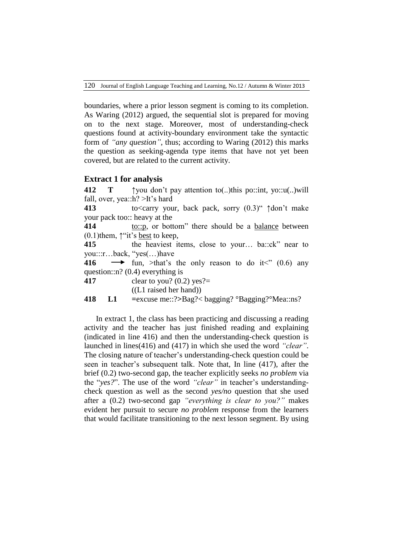120 Journal of English Language Teaching and Learning, No.12 / Autumn & Winter 2013

boundaries, where a prior lesson segment is coming to its completion. As Waring (2012) argued, the sequential slot is prepared for moving on to the next stage. Moreover, most of understanding-check questions found at activity-boundary environment take the syntactic form of *"any question"*, thus; according to Waring (2012) this marks the question as seeking-agenda type items that have not yet been covered, but are related to the current activity.

## **Extract 1 for analysis**

**412 T**  $\uparrow$  you don't pay attention to (...)this po::int, yo::u(...)will fall, over, yea::h? >It's hard **413** to<carry your, back pack, sorry (0.3)" ↑don't make your pack too:: heavy at the **414 to::p**, or bottom" there should be a <u>balance</u> between  $(0.1)$ them,  $\uparrow$ "it's best to keep, **415** the heaviest items, close to your… ba::ck" near to you:::r…back, "yes(…)have **416**  $\longrightarrow$  fun, >that's the only reason to do it<" (0.6) any question::n? (0.4) everything is **417** clear to you? (0.2) yes?= ((L1 raised her hand)) **418 L1 =**excuse me::?**>**Bag?< bagging? °Bagging?°Mea::ns?

In extract 1, the class has been practicing and discussing a reading activity and the teacher has just finished reading and explaining (indicated in line 416) and then the understanding-check question is launched in lines(416) and (417) in which she used the word *"clear"*. The closing nature of teacher's understanding-check question could be seen in teacher's subsequent talk. Note that, In line (417), after the brief (0.2) two-second gap, the teacher explicitly seeks *no problem* via the "*yes?*". The use of the word *"clear"* in teacher's understandingcheck question as well as the second *yes/no* question that she used after a (0.2) two-second gap *"everything is clear to you?"* makes evident her pursuit to secure *no problem* response from the learners that would facilitate transitioning to the next lesson segment. By using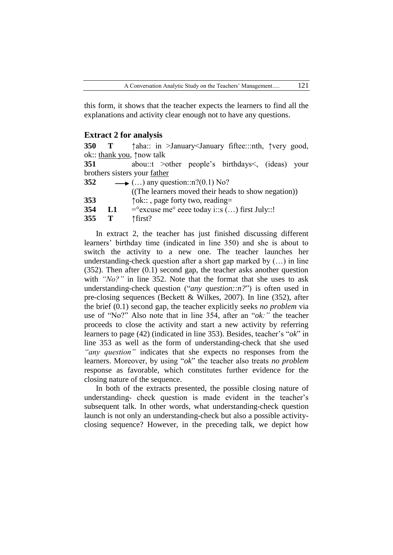this form, it shows that the teacher expects the learners to find all the explanations and activity clear enough not to have any questions.

#### **Extract 2 for analysis**

 **T ↑**aha:: in >January<January fiftee:::nth, ↑very good, ok:: thank you, ↑now talk abou::t >other people's birthdays<, (ideas) your brothers sisters your father  $\longrightarrow$  (...) any question::n?(0.1) No? ((The learners moved their heads to show negation)) **↑**ok:: , page forty two, reading= **L1**  $=$   $\degree$ excuse me $\degree$  eeee today i::s (...) first July::!

**355 T ↑**first?

In extract 2, the teacher has just finished discussing different learners' birthday time (indicated in line 350) and she is about to switch the activity to a new one. The teacher launches her understanding-check question after a short gap marked by  $(...)$  in line (352). Then after (0.1) second gap, the teacher asks another question with *"No?"* in line 352. Note that the format that she uses to ask understanding-check question ("*any question::n?*") is often used in pre-closing sequences (Beckett & Wilkes, 2007). In line (352), after the brief (0.1) second gap, the teacher explicitly seeks *no problem* via use of "No?" Also note that in line 354, after an "*ok:"* the teacher proceeds to close the activity and start a new activity by referring learners to page (42) (indicated in line 353). Besides, teacher's "*ok*" in line 353 as well as the form of understanding-check that she used *"any question"* indicates that she expects no responses from the learners. Moreover, by using "*ok*" the teacher also treats *no problem* response as favorable, which constitutes further evidence for the closing nature of the sequence.

In both of the extracts presented, the possible closing nature of understanding- check question is made evident in the teacher's subsequent talk. In other words, what understanding-check question launch is not only an understanding-check but also a possible activityclosing sequence? However, in the preceding talk, we depict how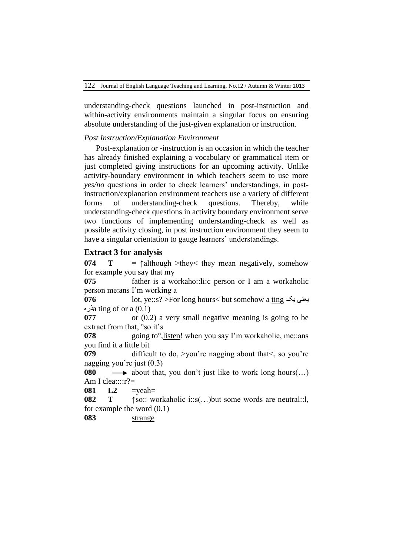understanding-check questions launched in post-instruction and within-activity environments maintain a singular focus on ensuring absolute understanding of the just-given explanation or instruction.

## *Post Instruction/Explanation Environment*

Post-explanation or -instruction is an occasion in which the teacher has already finished explaining a vocabulary or grammatical item or just completed giving instructions for an upcoming activity. Unlike activity-boundary environment in which teachers seem to use more *yes/no* questions in order to check learners' understandings, in postinstruction/explanation environment teachers use a variety of different forms of understanding-check questions. Thereby, while understanding-check questions in activity boundary environment serve two functions of implementing understanding-check as well as possible activity closing, in post instruction environment they seem to have a singular orientation to gauge learners' understandings.

## **Extract 3 for analysis**

**074 T** =  $\uparrow$  although >they< they mean negatively, somehow for example you say that my

**075** father is a workaho::li:c person or I am a workaholic person me:ans I'm working a

**076** lot, ye::s? >For long hours< but somehow a ting یک یعنی ذرهa ting of or a (0.1)

**077** or (0.2) a very small negative meaning is going to be extract from that, °so it's

**078** going to°, listen! when you say I'm workaholic, me::ans you find it a little bit

**079** difficult to do, >you're nagging about that <, so you're nagging you're just (0.3)

**080**  $\longrightarrow$  about that, you don't just like to work long hours(...) Am I clea::::r?=

**081 L2** =yeah=

**082 T ↑**so:: workaholic i::s(…)but some words are neutral::l, for example the word (0.1)

**083** strange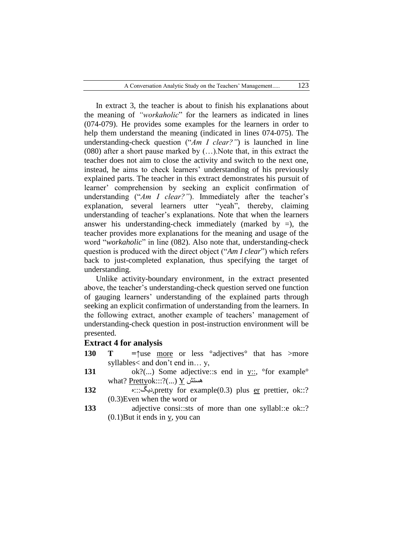In extract 3, the teacher is about to finish his explanations about the meaning of *"workaholic*" for the learners as indicated in lines (074-079). He provides some examples for the learners in order to help them understand the meaning (indicated in lines 074-075). The understanding-check question ("*Am I clear?"*) is launched in line (080) after a short pause marked by (…).Note that, in this extract the teacher does not aim to close the activity and switch to the next one, instead, he aims to check learners' understanding of his previously explained parts. The teacher in this extract demonstrates his pursuit of learner' comprehension by seeking an explicit confirmation of understanding ("*Am I clear?"*). Immediately after the teacher's explanation, several learners utter "yeah", thereby, claiming understanding of teacher's explanations. Note that when the learners answer his understanding-check immediately (marked by  $=$ ), the teacher provides more explanations for the meaning and usage of the word "*workaholic*" in line (082). Also note that, understanding-check question is produced with the direct object ("*Am I clear*") which refers back to just-completed explanation, thus specifying the target of understanding.

Unlike activity-boundary environment, in the extract presented above, the teacher's understanding-check question served one function of gauging learners' understanding of the explained parts through seeking an explicit confirmation of understanding from the learners. In the following extract, another example of teachers' management of understanding-check question in post-instruction environment will be presented.

## **Extract 4 for analysis**

- **130 T** =↑use <u>more</u> or less °adjectives <sup>or that has >more</sup> syllables< and don't end in… y,
- **131** ok?(...) Some adjective::s end in y::, <sup>o</sup>for example<sup>o</sup> what? Prettyok:::?(...) Y ىستش
- **132** ه:::دیگ,pretty for example(0.3) plus er prettier, ok::? (0.3)Even when the word or
- **133** adjective consi::sts of more than one syllabl::e ok::? (0.1)But it ends in y, you can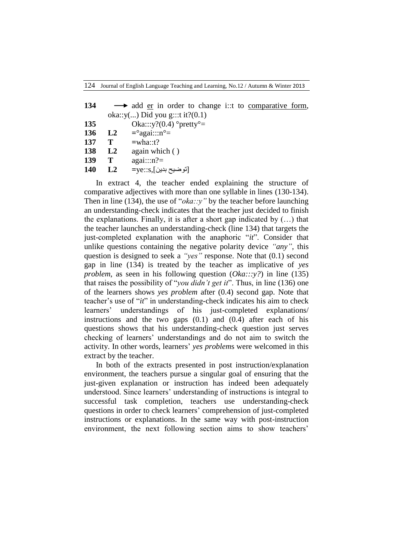| 134 |    | $\rightarrow$ add er in order to change i:: to comparative form, |
|-----|----|------------------------------------------------------------------|
|     |    | oka:: $y()$ Did you g:::t it?(0.1)                               |
| 135 |    | Oka::: $y$ ?(0.4) °pretty°=                                      |
| 136 | L2 | $=$ <sup>o</sup> agai:::n <sup>o</sup> =                         |
| 137 | Т  | $=$ wha::t?                                                      |
| 138 | L2 | again which $( )$                                                |
| 139 | Т  | $again::n? =$                                                    |
| 140 | L2 | [توضيح بدين],ye::s=                                              |
|     |    |                                                                  |

In extract 4, the teacher ended explaining the structure of comparative adjectives with more than one syllable in lines (130-134). Then in line (134), the use of "*oka*::y" by the teacher before launching an understanding-check indicates that the teacher just decided to finish the explanations. Finally, it is after a short gap indicated by  $(...)$  that the teacher launches an understanding-check (line 134) that targets the just-completed explanation with the anaphoric "*it*". Consider that unlike questions containing the negative polarity device *"any"*, this question is designed to seek a *"yes"* response. Note that (0.1) second gap in line (134) is treated by the teacher as implicative of *yes problem*, as seen in his following question (*Oka:::y?*) in line (135) that raises the possibility of "*you didn't get it*". Thus, in line (136) one of the learners shows *yes problem* after (0.4) second gap. Note that teacher's use of "*it*" in understanding-check indicates his aim to check learners' understandings of his just-completed explanations/ instructions and the two gaps  $(0.1)$  and  $(0.4)$  after each of his questions shows that his understanding-check question just serves checking of learners' understandings and do not aim to switch the activity. In other words, learners' *yes problem*s were welcomed in this extract by the teacher.

In both of the extracts presented in post instruction/explanation environment, the teachers pursue a singular goal of ensuring that the just-given explanation or instruction has indeed been adequately understood. Since learners' understanding of instructions is integral to successful task completion, teachers use understanding-check questions in order to check learners' comprehension of just-completed instructions or explanations. In the same way with post-instruction environment, the next following section aims to show teachers'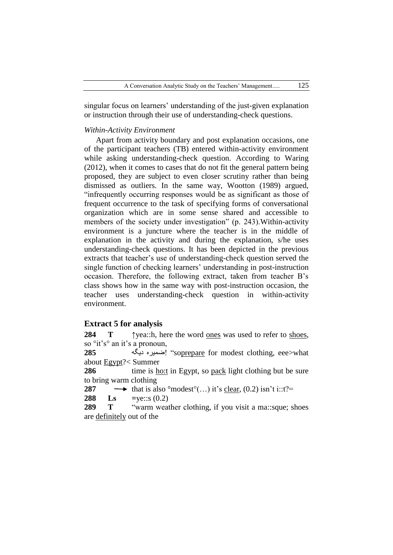singular focus on learners' understanding of the just-given explanation or instruction through their use of understanding-check questions.

#### *Within-Activity Environment*

Apart from activity boundary and post explanation occasions, one of the participant teachers (TB) entered within-activity environment while asking understanding-check question. According to Waring (2012), when it comes to cases that do not fit the general pattern being proposed, they are subject to even closer scrutiny rather than being dismissed as outliers. In the same way, Wootton (1989) argued, "infrequently occurring responses would be as significant as those of frequent occurrence to the task of specifying forms of conversational organization which are in some sense shared and accessible to members of the society under investigation" (p. 243).Within-activity environment is a juncture where the teacher is in the middle of explanation in the activity and during the explanation, s/he uses understanding-check questions. It has been depicted in the previous extracts that teacher's use of understanding-check question served the single function of checking learners' understanding in post-instruction occasion. Therefore, the following extract, taken from teacher B's class shows how in the same way with post-instruction occasion, the teacher uses understanding-check question in within-activity environment.

## **Extract 5 for analysis**

**284 T ↑**yea::h, here the word ones was used to refer to shoes, so  $\delta$ it's $\delta$  an it's a pronoun,

**285** دیگو ضمیره" !soprepare for modest clothing, eee>what about Egypt?< Summer

**286** time is <u>ho:t</u> in Egypt, so pack light clothing but be sure to bring warm clothing

**287**  $\longrightarrow$  that is also °modest°(...) it's clear, (0.2) isn't i::t?=

**288 Ls** = ye::s  $(0.2)$ 

**289 T** "warm weather clothing, if you visit a ma::sque; shoes are definitely out of the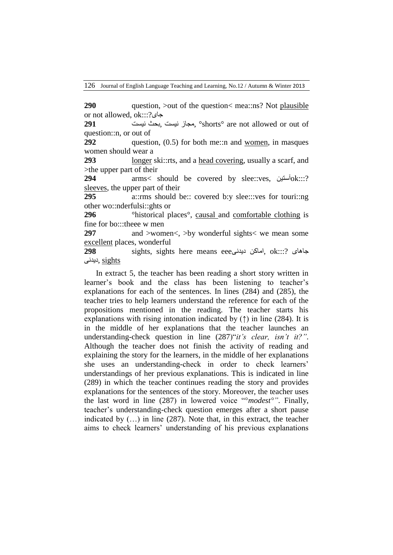126 Journal of English Language Teaching and Learning, No.12 / Autumn & Winter 2013

**290** question, bout of the question is mea: ns? Not plausible or not allowed, ok:::?جای

**291** نیست بحث, نیست مجاز, °shorts° are not allowed or out of question::n, or out of

**292** question, (0.5) for both me::n and women, in masques women should wear a

**293 longer ski::**rts, and a head covering, usually a scarf, and >the upper part of their

**294** arms< should be covered by slee::ves, آستین $\delta$ k:::? sleeves, the upper part of their

**295** a::rms should be:: covered b:y slee:::ves for touri::ng other wo::nderfulsi::ghts or

**296** <sup>•</sup>historical places<sup>°</sup>, causal and comfortable clothing is fine for bo:::theee w men

**297** and >women<, >by wonderful sights< we mean some excellent places, wonderful

**298** sights, sights here means eeeدیدنی اماکن, ok:::? جاىای sights ,دیدنی

In extract 5, the teacher has been reading a short story written in learner's book and the class has been listening to teacher's explanations for each of the sentences. In lines (284) and (285), the teacher tries to help learners understand the reference for each of the propositions mentioned in the reading. The teacher starts his explanations with rising intonation indicated by  $(†)$  in line (284). It is in the middle of her explanations that the teacher launches an understanding-check question in line (287)"*it's clear, isn't it?".* Although the teacher does not finish the activity of reading and explaining the story for the learners, in the middle of her explanations she uses an understanding-check in order to check learners' understandings of her previous explanations. This is indicated in line (289) in which the teacher continues reading the story and provides explanations for the sentences of the story. Moreover, the teacher uses the last word in line (287) in lowered voice "°*modest°"*. Finally, teacher's understanding-check question emerges after a short pause indicated by (…) in line (287). Note that, in this extract, the teacher aims to check learners' understanding of his previous explanations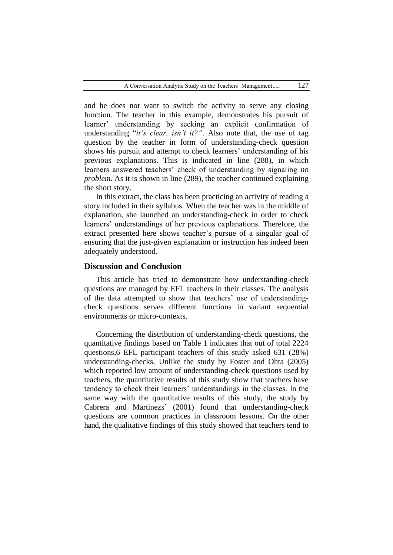and he does not want to switch the activity to serve any closing function. The teacher in this example, demonstrates his pursuit of learner' understanding by seeking an explicit confirmation of understanding "*it's clear, isn't it?*". Also note that, the use of tag question by the teacher in form of understanding-check question shows his pursuit and attempt to check learners' understanding of his previous explanations. This is indicated in line (288), in which learners answered teachers' check of understanding by signaling *no problem*. As it is shown in line (289), the teacher continued explaining the short story.

In this extract, the class has been practicing an activity of reading a story included in their syllabus. When the teacher was in the middle of explanation, she launched an understanding-check in order to check learners' understandings of her previous explanations. Therefore, the extract presented here shows teacher's pursue of a singular goal of ensuring that the just-given explanation or instruction has indeed been adequately understood.

#### **Discussion and Conclusion**

This article has tried to demonstrate how understanding-check questions are managed by EFL teachers in their classes. The analysis of the data attempted to show that teachers' use of understandingcheck questions serves different functions in variant sequential environments or micro-contexts.

Concerning the distribution of understanding-check questions, the quantitative findings based on Table 1 indicates that out of total 2224 questions,6 EFL participant teachers of this study asked 631 (28%) understanding-checks. Unlike the study by Foster and Ohta (2005) which reported low amount of understanding-check questions used by teachers, the quantitative results of this study show that teachers have tendency to check their learners' understandings in the classes. In the same way with the quantitative results of this study, the study by Cabrera and Martinezs' (2001) found that understanding-check questions are common practices in classroom lessons. On the other hand, the qualitative findings of this study showed that teachers tend to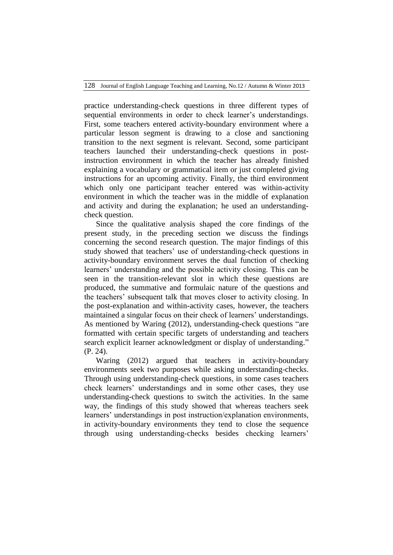128 Journal of English Language Teaching and Learning, No.12 / Autumn & Winter 2013

practice understanding-check questions in three different types of sequential environments in order to check learner's understandings. First, some teachers entered activity-boundary environment where a particular lesson segment is drawing to a close and sanctioning transition to the next segment is relevant. Second, some participant teachers launched their understanding-check questions in postinstruction environment in which the teacher has already finished explaining a vocabulary or grammatical item or just completed giving instructions for an upcoming activity. Finally, the third environment which only one participant teacher entered was within-activity environment in which the teacher was in the middle of explanation and activity and during the explanation; he used an understandingcheck question.

Since the qualitative analysis shaped the core findings of the present study, in the preceding section we discuss the findings concerning the second research question. The major findings of this study showed that teachers' use of understanding-check questions in activity-boundary environment serves the dual function of checking learners' understanding and the possible activity closing. This can be seen in the transition-relevant slot in which these questions are produced, the summative and formulaic nature of the questions and the teachers' subsequent talk that moves closer to activity closing. In the post-explanation and within-activity cases, however, the teachers maintained a singular focus on their check of learners' understandings. As mentioned by Waring (2012), understanding-check questions "are formatted with certain specific targets of understanding and teachers search explicit learner acknowledgment or display of understanding." (P. 24).

Waring (2012) argued that teachers in activity-boundary environments seek two purposes while asking understanding-checks. Through using understanding-check questions, in some cases teachers check learners' understandings and in some other cases, they use understanding-check questions to switch the activities. In the same way, the findings of this study showed that whereas teachers seek learners' understandings in post instruction/explanation environments, in activity-boundary environments they tend to close the sequence through using understanding-checks besides checking learners'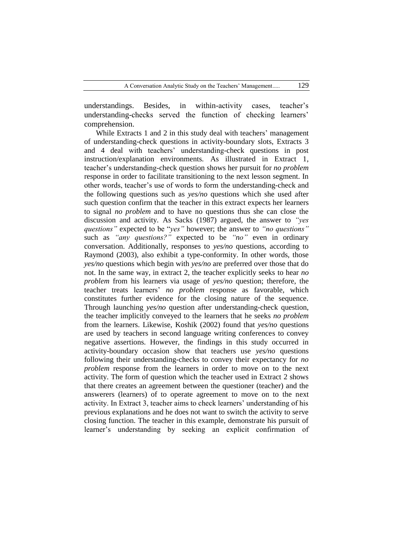understandings. Besides, in within-activity cases, teacher's understanding-checks served the function of checking learners' comprehension.

While Extracts 1 and 2 in this study deal with teachers' management of understanding-check questions in activity-boundary slots, Extracts 3 and 4 deal with teachers' understanding-check questions in post instruction/explanation environments. As illustrated in Extract 1, teacher's understanding-check question shows her pursuit for *no problem* response in order to facilitate transitioning to the next lesson segment. In other words, teacher's use of words to form the understanding-check and the following questions such as *yes/no* questions which she used after such question confirm that the teacher in this extract expects her learners to signal *no problem* and to have no questions thus she can close the discussion and activity. As Sacks (1987) argued, the answer to *"yes questions"* expected to be "*yes"* however; the answer to *"no questions"* such as *"any questions?"* expected to be *"no"* even in ordinary conversation. Additionally, responses to *yes/no* questions, according to Raymond (2003), also exhibit a type-conformity. In other words, those *yes/no* questions which begin with *yes/no* are preferred over those that do not. In the same way, in extract 2, the teacher explicitly seeks to hear *no problem* from his learners via usage of *yes/no* question; therefore, the teacher treats learners' *no problem* response as favorable, which constitutes further evidence for the closing nature of the sequence. Through launching *yes/no* question after understanding-check question, the teacher implicitly conveyed to the learners that he seeks *no problem* from the learners. Likewise, Koshik (2002) found that *yes/no* questions are used by teachers in second language writing conferences to convey negative assertions. However, the findings in this study occurred in activity-boundary occasion show that teachers use *yes/no* questions following their understanding-checks to convey their expectancy for *no problem* response from the learners in order to move on to the next activity. The form of question which the teacher used in Extract 2 shows that there creates an agreement between the questioner (teacher) and the answerers (learners) of to operate agreement to move on to the next activity. In Extract 3, teacher aims to check learners' understanding of his previous explanations and he does not want to switch the activity to serve closing function. The teacher in this example, demonstrate his pursuit of learner's understanding by seeking an explicit confirmation of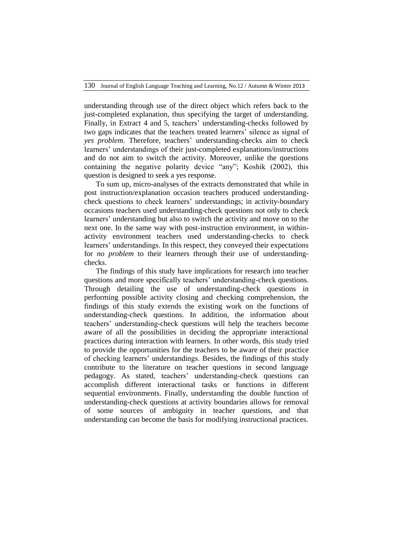understanding through use of the direct object which refers back to the just-completed explanation, thus specifying the target of understanding. Finally, in Extract 4 and 5, teachers' understanding-checks followed by two gaps indicates that the teachers treated learners' silence as signal of *yes problem*. Therefore, teachers' understanding-checks aim to check learners' understandings of their just-completed explanations/instructions and do not aim to switch the activity. Moreover, unlike the questions containing the negative polarity device "any"; Koshik (2002), this question is designed to seek a yes response.

To sum up, micro-analyses of the extracts demonstrated that while in post instruction/explanation occasion teachers produced understandingcheck questions to check learners' understandings; in activity-boundary occasions teachers used understanding-check questions not only to check learners' understanding but also to switch the activity and move on to the next one. In the same way with post-instruction environment, in withinactivity environment teachers used understanding-checks to check learners' understandings. In this respect, they conveyed their expectations for *no problem* to their learners through their use of understandingchecks.

The findings of this study have implications for research into teacher questions and more specifically teachers' understanding-check questions. Through detailing the use of understanding-check questions in performing possible activity closing and checking comprehension, the findings of this study extends the existing work on the functions of understanding-check questions. In addition, the information about teachers' understanding-check questions will help the teachers become aware of all the possibilities in deciding the appropriate interactional practices during interaction with learners. In other words, this study tried to provide the opportunities for the teachers to be aware of their practice of checking learners' understandings. Besides, the findings of this study contribute to the literature on teacher questions in second language pedagogy. As stated, teachers' understanding-check questions can accomplish different interactional tasks or functions in different sequential environments. Finally, understanding the double function of understanding-check questions at activity boundaries allows for removal of some sources of ambiguity in teacher questions, and that understanding can become the basis for modifying instructional practices.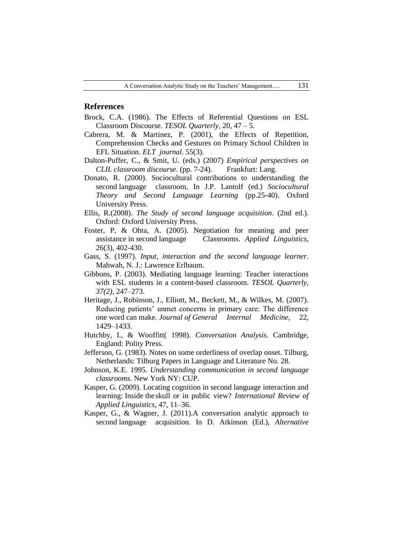#### **References**

- Brock, C.A. (1986). The Effects of Referential Questions on ESL Classroom Discourse. *TESOL Quarterly*, 20, 47 – 5.
- Cabrera, M. & Martinez, P. (2001), the Effects of Repetition, Comprehension Checks and Gestures on Primary School Children in EFL Situation. *ELT journal*. 55(3).
- Dalton-Puffer, C., & Smit, U. (eds.) (2007) *Empirical perspectives on CLIL classroom discourse.* (pp. 7-24). Frankfurt: Lang.
- Donato, R. (2000). Sociocultural contributions to understanding the second language classroom, In J.P. Lantolf (ed.) *Sociocultural Theory and Second Language Learning* (pp.25-40). Oxford University Press.
- Ellis, R.(2008). *The Study of second language acquisition*. (2nd ed.). Oxford: Oxford University Press.
- Foster, P, & Ohta, A. (2005). Negotiation for meaning and peer assistance in second language Classrooms. *Applied Linguistics*, 26(3), 402-430.
- Gass, S. (1997). *Input, interaction and the second language learner*. Mahwah, N. J.: Lawrence Erlbaum.
- Gibbons, P. (2003). Mediating language learning: Teacher interactions with ESL students in a content-based classroom. *TESOL Quarterly, 37(2),* 247–273.
- Heritage, J., Robinson, J., Elliott, M., Beckett, M., & Wilkes, M. (2007). Reducing patients' unmet concerns in primary care: The difference one word can make. *Journal of General Internal Medicine*, 22, 1429–1433.
- Hutchby, I., & Wooffitt( 1998). *Conversation Analysis*. Cambridge, England: Polity Press.
- Jefferson, G. (1983). Notes on some orderliness of overlap onset. Tilburg, Netherlands: Tilburg Papers in Language and Literature No. 28.
- Johnson, K.E. 1995. *Understanding communication in second language classrooms*. New York NY: CUP.
- Kasper, G. (2009). Locating cognition in second language interaction and learning: Inside the skull or in public view? *International Review of Applied Linguistics*, 47, 11–36.
- Kasper, G., & Wagner, J. (2011).A conversation analytic approach to second language acquisition. In D. Atkinson (Ed.), *Alternative*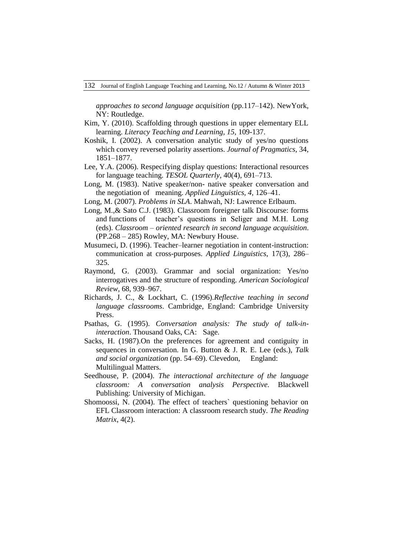*approaches to second language acquisition* (pp.117–142). NewYork, NY: Routledge.

- Kim, Y. (2010). Scaffolding through questions in upper elementary ELL learning. *Literacy Teaching and Learning, 15,* 109-137.
- Koshik, I. (2002). A conversation analytic study of yes/no questions which convey reversed polarity assertions. *Journal of Pragmatics*, 34, 1851–1877.
- Lee, Y.A. (2006). Respecifying display questions: Interactional resources for language teaching. *TESOL Quarterly,* 40(4), 691–713.
- Long, M. (1983). Native speaker/non- native speaker conversation and the negotiation of meaning. *Applied Linguistics, 4,* 126–41.
- Long, M. (2007). *Problems in SLA*. Mahwah, NJ: Lawrence Erlbaum.
- Long, M.,& Sato C.J. (1983). Classroom foreigner talk Discourse: forms and functions of teacher's questions in Seliger and M.H. Long (eds). *Classroom – oriented research in second language acquisition*. (PP.268 – 285) Rowley, MA: Newbury House.
- Musumeci, D. (1996). Teacher–learner negotiation in content-instruction: communication at cross-purposes. *Applied Linguistics*, 17(3), 286– 325.
- Raymond, G. (2003). Grammar and social organization: Yes/no interrogatives and the structure of responding. *American Sociological Review*, 68, 939–967.
- Richards, J. C., & Lockhart, C. (1996).*Reflective teaching in second language classrooms*. Cambridge, England: Cambridge University Press.
- Psathas, G. (1995). *Conversation analysis: The study of talk-ininteraction*. Thousand Oaks, CA: Sage.
- Sacks, H. (1987).On the preferences for agreement and contiguity in sequences in conversation. In G. Button & J. R. E. Lee (eds.), *Talk and social organization* (pp. 54–69). Clevedon, England: Multilingual Matters.
- Seedhouse, P. (2004). *The interactional architecture of the language classroom: A conversation analysis Perspective.* Blackwell Publishing: University of Michigan.
- Shomoossi, N. (2004). The effect of teachers` questioning behavior on EFL Classroom interaction: A classroom research study. *The Reading Matrix*, 4(2).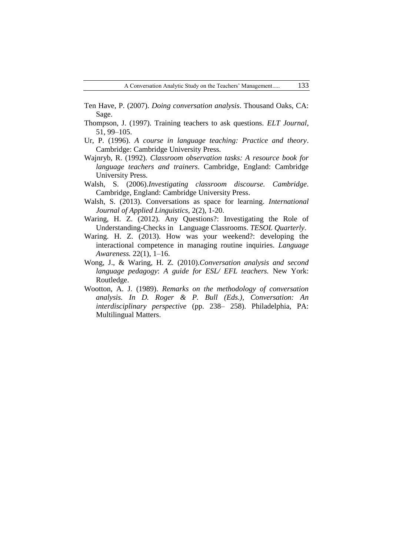- Ten Have, P. (2007). *Doing conversation analysis*. Thousand Oaks, CA: Sage.
- Thompson, J. (1997). Training teachers to ask questions. *ELT Journal*, 51, 99–105.
- Ur, P. (1996). *A course in language teaching: Practice and theory*. Cambridge: Cambridge University Press.
- Wajnryb, R. (1992). *Classroom observation tasks: A resource book for language teachers and trainers*. Cambridge, England: Cambridge University Press.
- Walsh, S. (2006).*Investigating classroom discourse. Cambridge*. Cambridge, England: Cambridge University Press.
- Walsh, S. (2013). Conversations as space for learning. *International Journal of Applied Linguistics*, 2(2), 1-20.
- Waring, H. Z. (2012). Any Questions?: Investigating the Role of Understanding-Checks in Language Classrooms. *TESOL Quarterly*.
- Waring. H. Z. (2013). How was your weekend?: developing the interactional competence in managing routine inquiries. *Language Awareness.* 22(1), 1–16.
- Wong, J., & Waring, H. Z*.* (2010).*Conversation analysis and second language pedagogy*: *A guide for ESL/ EFL teachers.* New York: Routledge.
- Wootton, A. J. (1989). *Remarks on the methodology of conversation analysis. In D. Roger & P. Bull (Eds.), Conversation: An interdisciplinary perspective* (pp. 238– 258). Philadelphia, PA: Multilingual Matters.